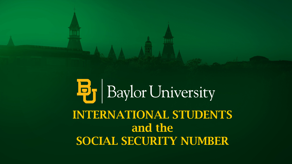

# **B**<sub>J</sub> Baylor University INTERNATIONAL STUDENTS and the SOCIAL SECURITY NUMBER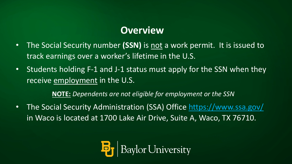### **Overview**

- The Social Security number **(SSN)** is not a work permit. It is issued to track earnings over a worker's lifetime in the U.S.
- Students holding F-1 and J-1 status must apply for the SSN when they receive employment in the U.S.

**NOTE:** *Dependents are not eligible for employment or the SSN* 

• The Social Security Administration (SSA) Office<https://www.ssa.gov/> in Waco is located at 1700 Lake Air Drive, Suite A, Waco, TX 76710.

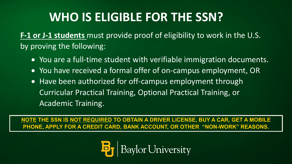## **WHO IS ELIGIBLE FOR THE SSN?**

**F-1 or J-1 students** must provide proof of eligibility to work in the U.S. by proving the following:

- You are a full-time student with verifiable immigration documents.
- You have received a formal offer of on-campus employment, OR
- Have been authorized for off-campus employment through Curricular Practical Training, Optional Practical Training, or Academic Training.

**NOTE THE SSN IS NOT REQUIRED TO OBTAIN A DRIVER LICENSE, BUY A CAR, GET A MOBILE PHONE, APPLY FOR A CREDIT CARD, BANK ACCOUNT, OR OTHER "NON-WORK" REASONS.**

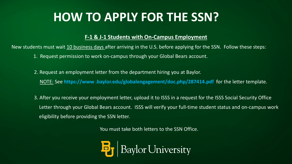## **HOW TO APPLY FOR THE SSN?**

#### **F-1 & J-1 Students with On-Campus Employment**

New students must wait 10 business days after arriving in the U.S. before applying for the SSN. Follow these steps:

- 1. Request permission to work on-campus through your Global Bears account.
- 2. Request an employment letter from the department hiring you at Baylor. NOTE: See **https://www .baylor.edu/globalengagement/doc.php/287414.pdf** for the letter template.
- 3. After you receive your employment letter, upload it to ISSS in a request for the ISSS Social Security Office Letter through your Global Bears account. ISSS will verify your full-time student status and on-campus work eligibility before providing the SSN letter.

You must take both letters to the SSN Office.

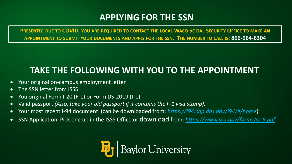#### **APPLYING FOR THE SSN**

**PRESENTLY, DUE TO COVID, YOU ARE REQUIRED TO CONTACT THE LOCAL WACO SOCIAL SECURITY OFFICE TO MAKE AN APPOINTMENT TO SUBMIT YOUR DOCUMENTS AND APPLY FOR THE SSN. THE NUMBER TO CALL IS: 866-964-6304**

### **TAKE THE FOLLOWING WITH YOU TO THE APPOINTMENT**

- Your original on-campus employment letter
- The SSN letter from ISSS
- You original Form I-20 (F-1) or Form DS-2019 (J-1)
- Valid passport *(Also, take your old passport if it contains the F-1 visa stamp).*
- Your most recent I-94 document (can be downloaded from: *<https://i94.cbp.dhs.gov/I94/#/home>*)
- SSN Application Pick one up in the ISSS Office or download from: *<https://www.ssa.gov/forms/ss-5.pdf>*

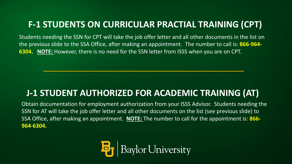### **F-1 STUDENTS ON CURRICULAR PRACTIAL TRAINING (CPT)**

Students needing the SSN for CPT will take the job offer letter and all other documents in the list on the previous slide to the SSA Office, after making an appointment. The number to call is: **866-964- 6304. NOTE:** However, there is no need for the SSN letter from ISSS when you are on CPT.

#### **J-1 STUDENT AUTHORIZED FOR ACADEMIC TRAINING (AT)**

Obtain documentation for employment authorization from your ISSS Advisor. Students needing the SSN for AT will take the job offer letter and all other documents on the list (see previous slide) to SSA Office, after making an appointment. **NOTE:** The number to call for the appointment is: **866- 964-6304.**

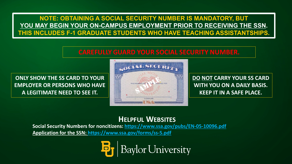**NOTE: OBTAINING A SOCIAL SECURITY NUMBER IS MANDATORY, BUT YOU MAY BEGIN YOUR ON-CAMPUS EMPLOYMENT PRIOR TO RECEIVING THE SSN. THIS INCLUDES F-1 GRADUATE STUDENTS WHO HAVE TEACHING ASSISTANTSHIPS.**

#### **CAREFULLY GUARD YOUR SOCIAL SECURITY NUMBER.**

**ONLY SHOW THE SS CARD TO YOUR EMPLOYER OR PERSONS WHO HAVE A LEGITIMATE NEED TO SEE IT.** 



**DO NOT CARRY YOUR SS CARD WITH YOU ON A DAILY BASIS. KEEP IT IN A SAFE PLACE.** 

#### **HELPFUL WEBSITES**

**Social Security Numbers for noncitizens:<https://www.ssa.gov/pubs/EN-05-10096.pdf> [Application for the SSN: https://www.ssa.gov/forms/ss-5.pdf](https://www.ssa.gov/forms/ss-5.pdf)**